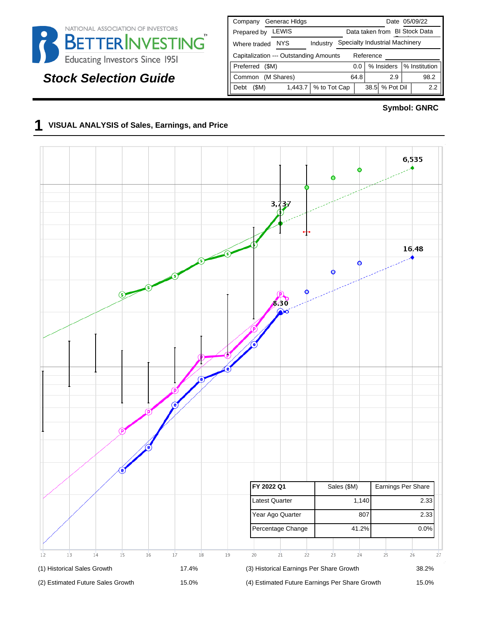

## **Stock Selection Guide**

| Generac Hidgs<br>Company                                           | Date 05/09/22                 |  |  |  |  |  |  |
|--------------------------------------------------------------------|-------------------------------|--|--|--|--|--|--|
| LEWIS<br>Prepared by                                               | Data taken from BI Stock Data |  |  |  |  |  |  |
| Specialty Industrial Machinery<br>NYS.<br>Industry<br>Where traded |                               |  |  |  |  |  |  |
| Capitalization --- Outstanding Amounts<br>Reference                |                               |  |  |  |  |  |  |
| % Institution<br>% Insiders<br>Preferred<br>(SM)<br>0.0            |                               |  |  |  |  |  |  |
| (M Shares)<br>Common                                               | 64.8<br>98.2<br>2.9           |  |  |  |  |  |  |
| % to Tot Cap<br>(SM)<br>1,443.7<br>Debt                            | 38.5 % Pot Dil<br>2.2         |  |  |  |  |  |  |

#### **Symbol: GNRC**

## **1 VISUAL ANALYSIS of Sales, Earnings, and Price**